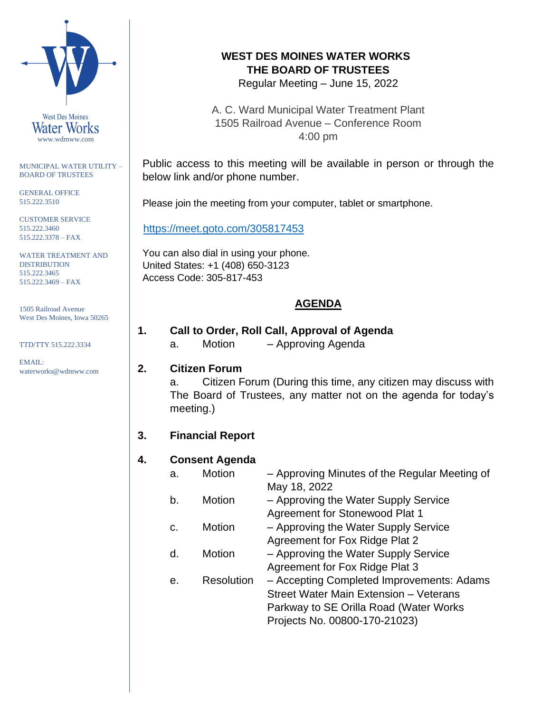

MUNICIPAL WATER UTILITY – BOARD OF TRUSTEES

GENERAL OFFICE 515.222.3510

CUSTOMER SERVICE 515.222.3460 515.222.3378 – FAX

WATER TREATMENT AND DISTRIBUTION 515.222.3465 515.222.3469 – FAX

1505 Railroad Avenue West Des Moines, Iowa 50265

TTD/TTY 515.222.3334

EMAIL: waterworks@wdmww.com

# **WEST DES MOINES WATER WORKS THE BOARD OF TRUSTEES**

Regular Meeting – June 15, 2022

A. C. Ward Municipal Water Treatment Plant 1505 Railroad Avenue – Conference Room 4:00 pm

Public access to this meeting will be available in person or through the below link and/or phone number.

Please join the meeting from your computer, tablet or smartphone.

<https://meet.goto.com/305817453>

You can also dial in using your phone. United States: +1 (408) 650-3123 Access Code: 305-817-453

# **AGENDA**

# **1. Call to Order, Roll Call, Approval of Agenda**

- - a. Motion Approving Agenda

#### **2. Citizen Forum**

a. Citizen Forum (During this time, any citizen may discuss with The Board of Trustees, any matter not on the agenda for today's meeting.)

# **3. Financial Report**

# **4. Consent Agenda**

| a. | Motion            | - Approving Minutes of the Regular Meeting of |
|----|-------------------|-----------------------------------------------|
|    |                   | May 18, 2022                                  |
| b. | Motion            | - Approving the Water Supply Service          |
|    |                   | Agreement for Stonewood Plat 1                |
| C. | Motion            | - Approving the Water Supply Service          |
|    |                   | Agreement for Fox Ridge Plat 2                |
| d. | <b>Motion</b>     | - Approving the Water Supply Service          |
|    |                   | Agreement for Fox Ridge Plat 3                |
| е. | <b>Resolution</b> | - Accepting Completed Improvements: Adams     |
|    |                   | Street Water Main Extension - Veterans        |
|    |                   | Parkway to SE Orilla Road (Water Works        |
|    |                   | Projects No. 00800-170-21023)                 |
|    |                   |                                               |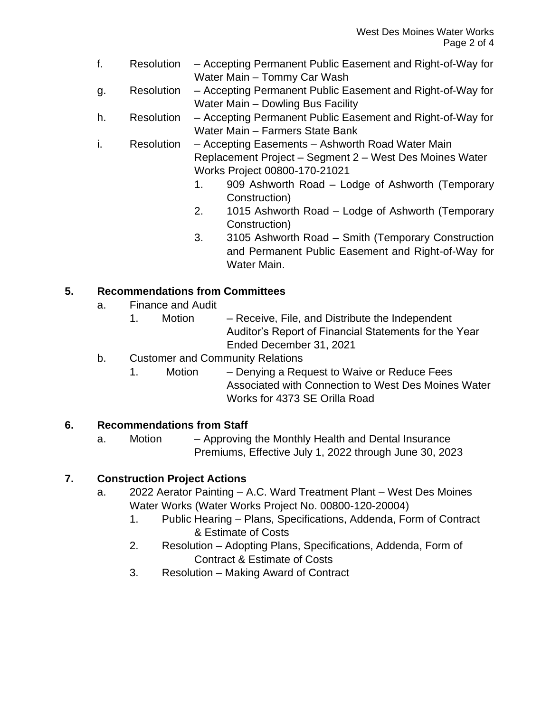- f. Resolution Accepting Permanent Public Easement and Right-of-Way for Water Main – Tommy Car Wash
- g. Resolution Accepting Permanent Public Easement and Right-of-Way for Water Main – Dowling Bus Facility
- h. Resolution Accepting Permanent Public Easement and Right-of-Way for Water Main – Farmers State Bank
- i. Resolution Accepting Easements Ashworth Road Water Main Replacement Project – Segment 2 – West Des Moines Water Works Project 00800-170-21021
	- 1. 909 Ashworth Road Lodge of Ashworth (Temporary Construction)
	- 2. 1015 Ashworth Road Lodge of Ashworth (Temporary Construction)
	- 3. 3105 Ashworth Road Smith (Temporary Construction and Permanent Public Easement and Right-of-Way for Water Main.

# **5. Recommendations from Committees**

- a. Finance and Audit
	- 1. Motion Receive, File, and Distribute the Independent Auditor's Report of Financial Statements for the Year Ended December 31, 2021
- b. Customer and Community Relations
	- 1. Motion Denying a Request to Waive or Reduce Fees Associated with Connection to West Des Moines Water Works for 4373 SE Orilla Road

# **6. Recommendations from Staff**

a. Motion – Approving the Monthly Health and Dental Insurance Premiums, Effective July 1, 2022 through June 30, 2023

# **7. Construction Project Actions**

- a. 2022 Aerator Painting A.C. Ward Treatment Plant West Des Moines Water Works (Water Works Project No. 00800-120-20004)
	- 1. Public Hearing Plans, Specifications, Addenda, Form of Contract & Estimate of Costs
	- 2. Resolution Adopting Plans, Specifications, Addenda, Form of Contract & Estimate of Costs
	- 3. Resolution Making Award of Contract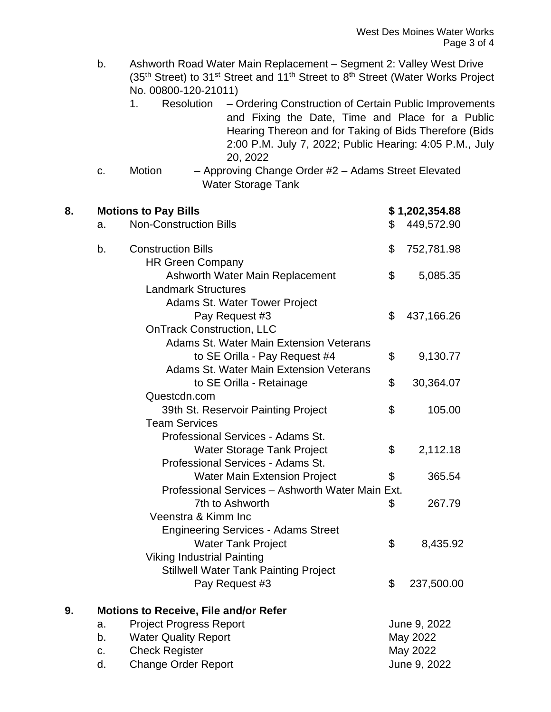b. Ashworth Road Water Main Replacement – Segment 2: Valley West Drive (35<sup>th</sup> Street) to 31<sup>st</sup> Street and 11<sup>th</sup> Street to 8<sup>th</sup> Street (Water Works Project No. 00800-120-21011)

- 1. Resolution Ordering Construction of Certain Public Improvements and Fixing the Date, Time and Place for a Public Hearing Thereon and for Taking of Bids Therefore (Bids 2:00 P.M. July 7, 2022; Public Hearing: 4:05 P.M., July 20, 2022
- c. Motion Approving Change Order #2 Adams Street Elevated Water Storage Tank

| 8. |                                                  | <b>Motions to Pay Bills</b>                    |          | \$1,202,354.88 |  |
|----|--------------------------------------------------|------------------------------------------------|----------|----------------|--|
|    | <b>Non-Construction Bills</b><br>a.              |                                                | \$       | 449,572.90     |  |
|    | b.                                               | <b>Construction Bills</b>                      | \$       | 752,781.98     |  |
|    |                                                  | <b>HR Green Company</b>                        |          |                |  |
|    |                                                  | Ashworth Water Main Replacement                | \$       | 5,085.35       |  |
|    |                                                  | <b>Landmark Structures</b>                     |          |                |  |
|    |                                                  | Adams St. Water Tower Project                  |          |                |  |
|    |                                                  | Pay Request #3                                 | \$       | 437,166.26     |  |
|    |                                                  | <b>OnTrack Construction, LLC</b>               |          |                |  |
|    |                                                  | Adams St. Water Main Extension Veterans        |          |                |  |
|    |                                                  | to SE Orilla - Pay Request #4                  | \$       | 9,130.77       |  |
|    |                                                  | <b>Adams St. Water Main Extension Veterans</b> |          |                |  |
|    |                                                  | to SE Orilla - Retainage                       | \$       | 30,364.07      |  |
|    | Questcdn.com                                     |                                                |          |                |  |
|    |                                                  | 39th St. Reservoir Painting Project            | \$       | 105.00         |  |
|    | <b>Team Services</b>                             |                                                |          |                |  |
|    |                                                  | Professional Services - Adams St.              |          |                |  |
|    |                                                  | <b>Water Storage Tank Project</b>              | \$       | 2,112.18       |  |
|    |                                                  | Professional Services - Adams St.              |          |                |  |
|    |                                                  | <b>Water Main Extension Project</b>            | \$       | 365.54         |  |
|    | Professional Services - Ashworth Water Main Ext. |                                                |          |                |  |
|    |                                                  | 7th to Ashworth                                | \$       | 267.79         |  |
|    |                                                  | Veenstra & Kimm Inc                            |          |                |  |
|    |                                                  | <b>Engineering Services - Adams Street</b>     |          |                |  |
|    |                                                  | <b>Water Tank Project</b>                      | \$       | 8,435.92       |  |
|    | <b>Viking Industrial Painting</b>                |                                                |          |                |  |
|    |                                                  | <b>Stillwell Water Tank Painting Project</b>   |          |                |  |
|    |                                                  | Pay Request #3                                 | \$       | 237,500.00     |  |
| 9. |                                                  | <b>Motions to Receive, File and/or Refer</b>   |          |                |  |
|    | a.                                               | <b>Project Progress Report</b>                 |          | June 9, 2022   |  |
|    | b.                                               | <b>Water Quality Report</b><br>May 2022        |          |                |  |
|    | c.                                               | <b>Check Register</b>                          | May 2022 |                |  |

d. Change Order Report **Change Order Report** 2022